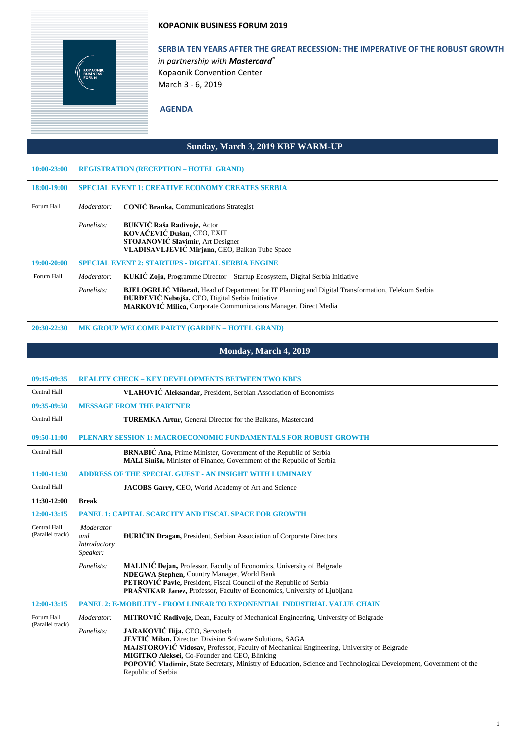#### **KOPAONIK BUSINESS FORUM 2019**



# **SERBIA TEN YEARS AFTER THE GREAT RECESSION: THE IMPERATIVE OF THE ROBUST GROWTH**

*in partnership with Mastercard®* Kopaonik Convention Center March 3 - 6, 2019

## **AGENDA**

### **Sunday, March 3, 2019 KBF WARM-UP**

| $10:00 - 23:00$ |            | <b>REGISTRATION (RECEPTION - HOTEL GRAND)</b>                                                                                                                                                                                          |
|-----------------|------------|----------------------------------------------------------------------------------------------------------------------------------------------------------------------------------------------------------------------------------------|
| 18:00-19:00     |            | <b>SPECIAL EVENT 1: CREATIVE ECONOMY CREATES SERBIA</b>                                                                                                                                                                                |
| Forum Hall      | Moderator: | <b>CONIC Branka, Communications Strategist</b>                                                                                                                                                                                         |
|                 | Panelists: | <b>BUKVIĆ Raša Radivoje, Actor</b><br>KOVAČEVIĆ Dušan, CEO, EXIT<br>STOJANOVIĆ Slavimir, Art Designer<br>VLADISAVLJEVIĆ Mirjana, CEO, Balkan Tube Space                                                                                |
| 19:00-20:00     |            | <b>SPECIAL EVENT 2: STARTUPS - DIGITAL SERBIA ENGINE</b>                                                                                                                                                                               |
| Forum Hall      | Moderator: | KUKIĆ Zoja, Programme Director – Startup Ecosystem, Digital Serbia Initiative                                                                                                                                                          |
|                 | Panelists: | <b>BJELOGRLIĆ Milorad, Head of Department for IT Planning and Digital Transformation, Telekom Serbia</b><br><b>DURDEVIĆ Nebojša, CEO, Digital Serbia Initiative</b><br>MARKOVIĆ Milica, Corporate Communications Manager, Direct Media |

#### **20:30-22:30 MK GROUP WELCOME PARTY (GARDEN – HOTEL GRAND)**

## **Monday, March 4, 2019**

| 09:15-09:35                             |                                              | <b>REALITY CHECK - KEY DEVELOPMENTS BETWEEN TWO KBFS</b>                                                                                                                                                                                                                                                                                                                                            |
|-----------------------------------------|----------------------------------------------|-----------------------------------------------------------------------------------------------------------------------------------------------------------------------------------------------------------------------------------------------------------------------------------------------------------------------------------------------------------------------------------------------------|
| Central Hall                            |                                              | VLAHOVIĆ Aleksandar, President, Serbian Association of Economists                                                                                                                                                                                                                                                                                                                                   |
| 09:35-09:50                             |                                              | <b>MESSAGE FROM THE PARTNER</b>                                                                                                                                                                                                                                                                                                                                                                     |
| Central Hall                            |                                              | <b>TUREMKA Artur, General Director for the Balkans, Mastercard</b>                                                                                                                                                                                                                                                                                                                                  |
| 09:50-11:00                             |                                              | PLENARY SESSION 1: MACROECONOMIC FUNDAMENTALS FOR ROBUST GROWTH                                                                                                                                                                                                                                                                                                                                     |
| Central Hall                            |                                              | <b>BRNABIĆ Ana, Prime Minister, Government of the Republic of Serbia</b><br><b>MALI Siniša, Minister of Finance, Government of the Republic of Serbia</b>                                                                                                                                                                                                                                           |
| 11:00-11:30                             |                                              | <b>ADDRESS OF THE SPECIAL GUEST - AN INSIGHT WITH LUMINARY</b>                                                                                                                                                                                                                                                                                                                                      |
| Central Hall                            |                                              | JACOBS Garry, CEO, World Academy of Art and Science                                                                                                                                                                                                                                                                                                                                                 |
| 11:30-12:00                             | <b>Break</b>                                 |                                                                                                                                                                                                                                                                                                                                                                                                     |
| 12:00-13:15                             |                                              | <b>PANEL 1: CAPITAL SCARCITY AND FISCAL SPACE FOR GROWTH</b>                                                                                                                                                                                                                                                                                                                                        |
| <b>Central Hall</b><br>(Parallel track) | Moderator<br>and<br>Introductory<br>Speaker: | <b>DURIČIN Dragan, President, Serbian Association of Corporate Directors</b>                                                                                                                                                                                                                                                                                                                        |
|                                         | Panelists:                                   | MALINIĆ Dejan, Professor, Faculty of Economics, University of Belgrade<br>NDEGWA Stephen, Country Manager, World Bank<br><b>PETROVIĆ Pavle, President, Fiscal Council of the Republic of Serbia</b><br><b>PRAŠNIKAR Janez.</b> Professor, Faculty of Economics, University of Ljubljana                                                                                                             |
| 12:00-13:15                             |                                              | <b>PANEL 2: E-MOBILITY - FROM LINEAR TO EXPONENTIAL INDUSTRIAL VALUE CHAIN</b>                                                                                                                                                                                                                                                                                                                      |
| Forum Hall<br>(Parallel track)          | Moderator:                                   | MITROVIĆ Radivoje, Dean, Faculty of Mechanical Engineering, University of Belgrade                                                                                                                                                                                                                                                                                                                  |
|                                         | Panelists:                                   | JARAKOVIĆ Ilija, CEO, Servotech<br><b>JEVTIĆ Milan, Director Division Software Solutions, SAGA</b><br>MAJSTOROVIĆ Vidosav, Professor, Faculty of Mechanical Engineering, University of Belgrade<br>MIGITKO Aleksei, Co-Founder and CEO, Blinking<br><b>POPOVIC Vladimir, State Secretary, Ministry of Education, Science and Technological Development, Government of the</b><br>Republic of Serbia |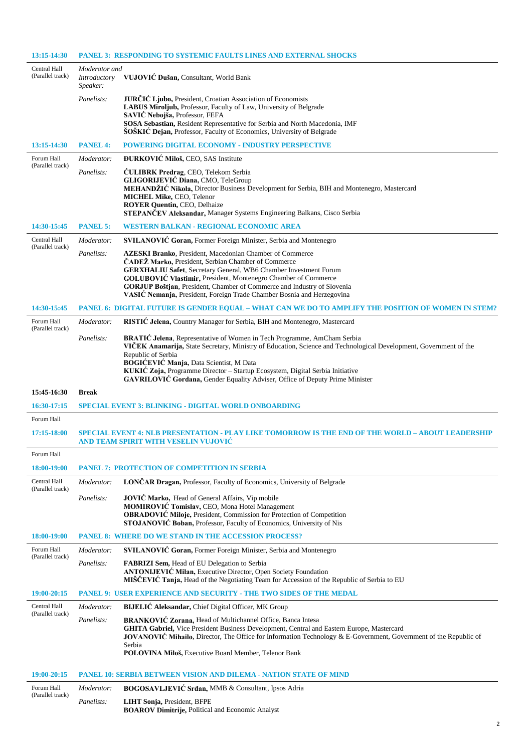| 13:15-14:30                      |                                           | <b>PANEL 3: RESPONDING TO SYSTEMIC FAULTS LINES AND EXTERNAL SHOCKS</b>                                                                                                                                                                                                                                                                                                                                                                |
|----------------------------------|-------------------------------------------|----------------------------------------------------------------------------------------------------------------------------------------------------------------------------------------------------------------------------------------------------------------------------------------------------------------------------------------------------------------------------------------------------------------------------------------|
| Central Hall<br>(Parallel track) | Moderator and<br>Introductory<br>Speaker: | VUJOVIĆ Dušan, Consultant, World Bank                                                                                                                                                                                                                                                                                                                                                                                                  |
|                                  | Panelists:                                | JURČIĆ Ljubo, President, Croatian Association of Economists<br>LABUS Miroljub, Professor, Faculty of Law, University of Belgrade<br>SAVIĆ Nebojša, Professor, FEFA<br>SOSA Sebastian, Resident Representative for Serbia and North Macedonia, IMF<br><b>SOSKIC Dejan, Professor, Faculty of Economics, University of Belgrade</b>                                                                                                      |
| 13:15-14:30                      | <b>PANEL 4:</b>                           | <b>POWERING DIGITAL ECONOMY - INDUSTRY PERSPECTIVE</b>                                                                                                                                                                                                                                                                                                                                                                                 |
| Forum Hall                       | Moderator:                                | <b>DURKOVIĆ Miloš, CEO, SAS Institute</b>                                                                                                                                                                                                                                                                                                                                                                                              |
| (Parallel track)                 | Panelists:                                | <b>CULIBRK Predrag</b> , CEO, Telekom Serbia<br>GLIGORIJEVIĆ Diana, CMO, TeleGroup<br>MEHANDŽIĆ Nikola, Director Business Development for Serbia, BIH and Montenegro, Mastercard<br>MICHEL Mike, CEO, Telenor<br><b>ROYER Quentin, CEO, Delhaize</b><br>STEPANCEV Aleksandar, Manager Systems Engineering Balkans, Cisco Serbia                                                                                                        |
| 14:30-15:45                      | <b>PANEL 5:</b>                           | <b>WESTERN BALKAN - REGIONAL ECONOMIC AREA</b>                                                                                                                                                                                                                                                                                                                                                                                         |
| Central Hall                     | Moderator:                                | <b>SVILANOVIĆ Goran, Former Foreign Minister, Serbia and Montenegro</b>                                                                                                                                                                                                                                                                                                                                                                |
| (Parallel track)                 | Panelists:                                | <b>AZESKI Branko</b> , President, Macedonian Chamber of Commerce<br>ČADEŽ Marko, President, Serbian Chamber of Commerce<br><b>GERXHALIU Safet, Secretary General, WB6 Chamber Investment Forum</b><br>GOLUBOVIĆ Vlastimir, President, Montenegro Chamber of Commerce<br><b>GORJUP Boštjan, President, Chamber of Commerce and Industry of Slovenia</b><br>VASIĆ Nemanja, President, Foreign Trade Chamber Bosnia and Herzegovina       |
| 14:30-15:45                      |                                           | PANEL 6: DIGITAL FUTURE IS GENDER EQUAL - WHAT CAN WE DO TO AMPLIFY THE POSITION OF WOMEN IN STEM?                                                                                                                                                                                                                                                                                                                                     |
| Forum Hall<br>(Parallel track)   | Moderator:                                | RISTIĆ Jelena, Country Manager for Serbia, BIH and Montenegro, Mastercard                                                                                                                                                                                                                                                                                                                                                              |
|                                  | Panelists:                                | <b>BRATIĆ Jelena</b> , Representative of Women in Tech Programme, AmCham Serbia<br>VIČEK Anamarija, State Secretary, Ministry of Education, Science and Technological Development, Government of the<br>Republic of Serbia<br>BOGIĆEVIĆ Manja, Data Scientist, M Data<br>KUKIĆ Zoja, Programme Director - Startup Ecosystem, Digital Serbia Initiative<br>GAVRILOVIĆ Gordana, Gender Equality Adviser, Office of Deputy Prime Minister |
|                                  |                                           |                                                                                                                                                                                                                                                                                                                                                                                                                                        |
| 15:45-16:30                      | <b>Break</b>                              |                                                                                                                                                                                                                                                                                                                                                                                                                                        |
| 16:30-17:15                      |                                           | <b>SPECIAL EVENT 3: BLINKING - DIGITAL WORLD ONBOARDING</b>                                                                                                                                                                                                                                                                                                                                                                            |
| Forum Hall                       |                                           |                                                                                                                                                                                                                                                                                                                                                                                                                                        |
| 17:15-18:00                      |                                           | <u>SPECIAL EVENT 4: NLB PRESENTATION - PLAY LIKE TOMORROW IS THE END OF THE WORLD – ABOUT LEADERSHIP</u><br>AND TEAM SPIRIT WITH VESELIN VUJOVIC                                                                                                                                                                                                                                                                                       |
| Forum Hall                       |                                           |                                                                                                                                                                                                                                                                                                                                                                                                                                        |
| 18:00-19:00                      |                                           | <b>PANEL 7: PROTECTION OF COMPETITION IN SERBIA</b>                                                                                                                                                                                                                                                                                                                                                                                    |
| Central Hall<br>(Parallel track) | Moderator:                                | LONČAR Dragan, Professor, Faculty of Economics, University of Belgrade                                                                                                                                                                                                                                                                                                                                                                 |
|                                  | Panelists:                                | JOVIĆ Marko, Head of General Affairs, Vip mobile<br>MOMIROVIĆ Tomislav, CEO, Mona Hotel Management<br><b>OBRADOVIĆ Miloje, President, Commission for Protection of Competition</b><br>STOJANOVIĆ Boban, Professor, Faculty of Economics, University of Nis                                                                                                                                                                             |
| 18:00-19:00                      |                                           | <b>PANEL 8: WHERE DO WE STAND IN THE ACCESSION PROCESS?</b>                                                                                                                                                                                                                                                                                                                                                                            |
| Forum Hall                       | Moderator:                                | <b>SVILANOVIĆ Goran, Former Foreign Minister, Serbia and Montenegro</b>                                                                                                                                                                                                                                                                                                                                                                |
| (Parallel track)                 | Panelists:                                | FABRIZI Sem, Head of EU Delegation to Serbia<br><b>ANTONIJEVIĆ Milan, Executive Director, Open Society Foundation</b><br>MIŠČEVIĆ Tanja, Head of the Negotiating Team for Accession of the Republic of Serbia to EU                                                                                                                                                                                                                    |
| 19:00-20:15                      |                                           | <b>PANEL 9: USER EXPERIENCE AND SECURITY - THE TWO SIDES OF THE MEDAL</b>                                                                                                                                                                                                                                                                                                                                                              |
| Central Hall                     | Moderator:                                | BIJELIĆ Aleksandar, Chief Digital Officer, MK Group                                                                                                                                                                                                                                                                                                                                                                                    |
| (Parallel track)                 | Panelists:                                | <b>BRANKOVIĆ Zorana, Head of Multichannel Office, Banca Intesa</b><br>GHITA Gabriel, Vice President Business Development, Central and Eastern Europe, Mastercard<br><b>JOVANOVIC Mihailo</b> , Director, The Office for Information Technology & E-Government, Government of the Republic of<br>Serbia<br><b>POLOVINA Miloš, Executive Board Member, Telenor Bank</b>                                                                  |
| 19:00-20:15                      |                                           | <b>PANEL 10: SERBIA BETWEEN VISION AND DILEMA - NATION STATE OF MIND</b>                                                                                                                                                                                                                                                                                                                                                               |
| Forum Hall                       | Moderator:                                | BOGOSAVLJEVIĆ Srđan, MMB & Consultant, Ipsos Adria                                                                                                                                                                                                                                                                                                                                                                                     |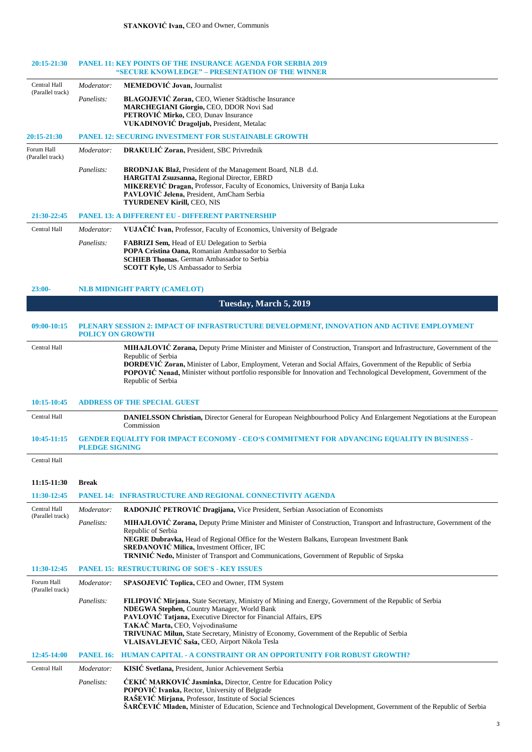| 20:15-21:30                    |                         | <b>PANEL 11: KEY POINTS OF THE INSURANCE AGENDA FOR SERBIA 2019</b><br>"SECURE KNOWLEDGE" – PRESENTATION OF THE WINNER                                                                                                                                                                                                                                                                   |
|--------------------------------|-------------------------|------------------------------------------------------------------------------------------------------------------------------------------------------------------------------------------------------------------------------------------------------------------------------------------------------------------------------------------------------------------------------------------|
| Central Hall                   | Moderator:              | <b>MEMEDOVIĆ Jovan</b> , Journalist                                                                                                                                                                                                                                                                                                                                                      |
| (Parallel track)               | Panelists:              | BLAGOJEVIĆ Zoran, CEO, Wiener Städtische Insurance<br>MARCHEGIANI Giorgio, CEO, DDOR Novi Sad<br>PETROVIĆ Mirko, CEO, Dunav Insurance<br>VUKADINOVIĆ Dragoljub, President, Metalac                                                                                                                                                                                                       |
| 20:15-21:30                    |                         | <b>PANEL 12: SECURING INVESTMENT FOR SUSTAINABLE GROWTH</b>                                                                                                                                                                                                                                                                                                                              |
| Forum Hall<br>(Parallel track) | Moderator:              | DRAKULIĆ Zoran, President, SBC Privrednik                                                                                                                                                                                                                                                                                                                                                |
|                                | Panelists:              | BRODNJAK Blaž, President of the Management Board, NLB d.d.<br>HARGITAI Zsuzsanna, Regional Director, EBRD<br>MIKEREVIĆ Dragan, Professor, Faculty of Economics, University of Banja Luka<br>PAVLOVIĆ Jelena, President, AmCham Serbia<br>TYURDENEV Kirill, CEO, NIS                                                                                                                      |
| 21:30-22:45                    |                         | <b>PANEL 13: A DIFFERENT EU - DIFFERENT PARTNERSHIP</b>                                                                                                                                                                                                                                                                                                                                  |
| Central Hall                   | Moderator:              | VUJAČIĆ Ivan, Professor, Faculty of Economics, University of Belgrade                                                                                                                                                                                                                                                                                                                    |
|                                | Panelists:              | <b>FABRIZI Sem, Head of EU Delegation to Serbia</b><br>POPA Cristina Oana, Romanian Ambassador to Serbia<br><b>SCHIEB Thomas, German Ambassador to Serbia</b><br><b>SCOTT Kyle, US Ambassador to Serbia</b>                                                                                                                                                                              |
| $23:00-$                       |                         | <b>NLB MIDNIGHT PARTY (CAMELOT)</b>                                                                                                                                                                                                                                                                                                                                                      |
|                                |                         | Tuesday, March 5, 2019                                                                                                                                                                                                                                                                                                                                                                   |
| 09:00-10:15                    | <b>POLICY ON GROWTH</b> | PLENARY SESSION 2: IMPACT OF INFRASTRUCTURE DEVELOPMENT, INNOVATION AND ACTIVE EMPLOYMENT                                                                                                                                                                                                                                                                                                |
| Central Hall                   |                         | MIHAJLOVIĆ Zorana, Deputy Prime Minister and Minister of Construction, Transport and Infrastructure, Government of the<br>Republic of Serbia<br>ĐORĐEVIĆ Zoran, Minister of Labor, Employment, Veteran and Social Affairs, Government of the Republic of Serbia<br>POPOVIC Nenad, Minister without portfolio responsible for Innovation and Technological Development, Government of the |
|                                |                         | Republic of Serbia                                                                                                                                                                                                                                                                                                                                                                       |
| 10:15-10:45                    |                         | <b>ADDRESS OF THE SPECIAL GUEST</b>                                                                                                                                                                                                                                                                                                                                                      |
| Central Hall                   |                         | DANIELSSON Christian, Director General for European Neighbourhood Policy And Enlargement Negotiations at the European<br>Commission                                                                                                                                                                                                                                                      |
| 10:45-11:15                    | <b>PLEDGE SIGNING</b>   | <b>GENDER EQUALITY FOR IMPACT ECONOMY - CEO'S COMMITMENT FOR ADVANCING EQUALITY IN BUSINESS -</b>                                                                                                                                                                                                                                                                                        |
| Central Hall                   |                         |                                                                                                                                                                                                                                                                                                                                                                                          |
| 11:15-11:30                    | <b>Break</b>            |                                                                                                                                                                                                                                                                                                                                                                                          |
| 11:30-12:45                    |                         | <b>PANEL 14: INFRASTRUCTURE AND REGIONAL CONNECTIVITY AGENDA</b>                                                                                                                                                                                                                                                                                                                         |
| Central Hall                   | Moderator:              | RADONJIĆ PETROVIĆ Dragijana, Vice President, Serbian Association of Economists                                                                                                                                                                                                                                                                                                           |
| (Parallel track)               | Panelists:              | MIHAJLOVIĆ Zorana, Deputy Prime Minister and Minister of Construction, Transport and Infrastructure, Government of the                                                                                                                                                                                                                                                                   |

| 11:30-12:45                    |                  | <b>PANEL 15: RESTRUCTURING OF SOE'S - KEY ISSUES</b>                                                                                                                                                                                                                                                                                                                                                                             |
|--------------------------------|------------------|----------------------------------------------------------------------------------------------------------------------------------------------------------------------------------------------------------------------------------------------------------------------------------------------------------------------------------------------------------------------------------------------------------------------------------|
| Forum Hall<br>(Parallel track) | Moderator:       | <b>SPASOJEVIĆ Toplica, CEO and Owner, ITM System</b>                                                                                                                                                                                                                                                                                                                                                                             |
|                                | Panelists:       | <b>FILIPOVIC Mirjana, State Secretary, Ministry of Mining and Energy, Government of the Republic of Serbia</b><br>NDEGWA Stephen, Country Manager, World Bank<br><b>PAVLOVIĆ Tatjana, Executive Director for Financial Affairs, EPS</b><br>TAKAČ Marta, CEO, Vojvodinašume<br><b>TRIVUNAC Milun,</b> State Secretary, Ministry of Economy, Government of the Republic of Serbia<br>VLAISAVLJEVIĆ Saša, CEO, Airport Nikola Tesla |
| 12:45-14:00                    | <b>PANEL 16:</b> | <b>HUMAN CAPITAL - A CONSTRAINT OR AN OPPORTUNITY FOR ROBUST GROWTH?</b>                                                                                                                                                                                                                                                                                                                                                         |
| Central Hall                   | Moderator:       | KISIĆ Svetlana, President, Junior Achievement Serbia                                                                                                                                                                                                                                                                                                                                                                             |
|                                | Panelists:       | <b>ĆEKIĆ MARKOVIĆ Jasminka, Director, Centre for Education Policy</b><br>POPOVIĆ Ivanka, Rector, University of Belgrade<br>RAŠEVIĆ Mirjana, Professor, Institute of Social Sciences<br>ŠARČEVIĆ Mladen, Minister of Education, Science and Technological Development, Government of the Republic of Serbia                                                                                                                       |

**NEGRE Dubravka,** Head of Regional Office for the Western Balkans, European Investment Bank

**TRNINIĆ Neđo,** Minister of Transport and Communications, Government of Republic of Srpska

Republic of Serbia

**SREDANOVIĆ Milica,** Investment Officer, IFC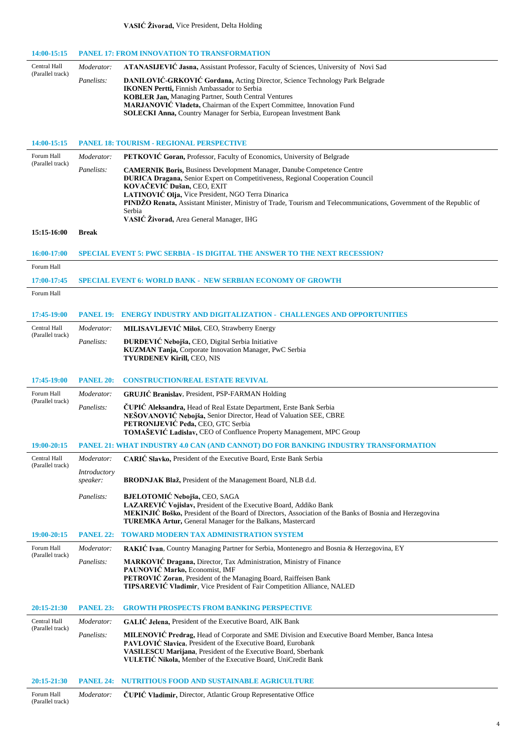#### **VASIĆ Živorad,** Vice President, Delta Holding

| 14:00-15:15                      |                          | <b>PANEL 17: FROM INNOVATION TO TRANSFORMATION</b>                                                                                                                        |
|----------------------------------|--------------------------|---------------------------------------------------------------------------------------------------------------------------------------------------------------------------|
| Central Hall                     | Moderator:               | ATANASIJEVIC Jasna, Assistant Professor, Faculty of Sciences, University of Novi Sad                                                                                      |
| (Parallel track)                 | Panelists:               | DANILOVIĆ-GRKOVIĆ Gordana, Acting Director, Science Technology Park Belgrade                                                                                              |
|                                  |                          | <b>IKONEN Pertti, Finnish Ambassador to Serbia</b><br><b>KOBLER Jan, Managing Partner, South Central Ventures</b>                                                         |
|                                  |                          | MARJANOVIĆ Vladeta, Chairman of the Expert Committee, Innovation Fund                                                                                                     |
|                                  |                          | SOLECKI Anna, Country Manager for Serbia, European Investment Bank                                                                                                        |
|                                  |                          |                                                                                                                                                                           |
| 14:00-15:15                      |                          | <b>PANEL 18: TOURISM - REGIONAL PERSPECTIVE</b>                                                                                                                           |
| Forum Hall<br>(Parallel track)   | Moderator:               | <b>PETKOVIC Goran, Professor, Faculty of Economics, University of Belgrade</b>                                                                                            |
|                                  | Panelists:               | <b>CAMERNIK Boris, Business Development Manager, Danube Competence Centre</b><br><b>ĐURICA Dragana, Senior Expert on Competitiveness, Regional Cooperation Council</b>    |
|                                  |                          | KOVAČEVIĆ Dušan, CEO, EXIT                                                                                                                                                |
|                                  |                          | LATINOVIĆ Olja, Vice President, NGO Terra Dinarica<br>PINDŽO Renata, Assistant Minister, Ministry of Trade, Tourism and Telecommunications, Government of the Republic of |
|                                  |                          | Serbia<br>VASIĆ Živorad, Area General Manager, IHG                                                                                                                        |
| 15:15-16:00                      | <b>Break</b>             |                                                                                                                                                                           |
|                                  |                          |                                                                                                                                                                           |
| 16:00-17:00                      |                          | <b>SPECIAL EVENT 5: PWC SERBIA - IS DIGITAL THE ANSWER TO THE NEXT RECESSION?</b>                                                                                         |
| Forum Hall                       |                          |                                                                                                                                                                           |
| 17:00-17:45                      |                          | <b>SPECIAL EVENT 6: WORLD BANK - NEW SERBIAN ECONOMY OF GROWTH</b>                                                                                                        |
| Forum Hall                       |                          |                                                                                                                                                                           |
| 17:45-19:00                      | <b>PANEL 19:</b>         | <b>ENERGY INDUSTRY AND DIGITALIZATION - CHALLENGES AND OPPORTUNITIES</b>                                                                                                  |
| Central Hall                     | Moderator:               | MILISAVLJEVIĆ Miloš, CEO, Strawberry Energy                                                                                                                               |
| (Parallel track)                 | Panelists:               | ĐURĐEVIĆ Nebojša, CEO, Digital Serbia Initiative                                                                                                                          |
|                                  |                          | KUZMAN Tanja, Corporate Innovation Manager, PwC Serbia<br>TYURDENEV Kirill, CEO, NIS                                                                                      |
|                                  |                          |                                                                                                                                                                           |
| 17:45-19:00                      | <b>PANEL 20:</b>         | <b>CONSTRUCTION/REAL ESTATE REVIVAL</b>                                                                                                                                   |
| Forum Hall                       | Moderator:               | <b>GRUJIĆ Branislav</b> , President, PSP-FARMAN Holding                                                                                                                   |
| (Parallel track)                 | Panelists:               | <b>CUPIC Aleksandra, Head of Real Estate Department, Erste Bank Serbia</b>                                                                                                |
|                                  |                          | NEŠOVANOVIĆ Nebojša, Senior Director, Head of Valuation SEE, CBRE<br>PETRONIJEVIĆ Peđa, CEO, GTC Serbia                                                                   |
|                                  |                          | TOMAŠEVIĆ Ladislav, CEO of Confluence Property Management, MPC Group                                                                                                      |
| 19:00-20:15                      |                          | PANEL 21: WHAT INDUSTRY 4.0 CAN (AND CANNOT) DO FOR BANKING INDUSTRY TRANSFORMATION                                                                                       |
| Central Hall<br>(Parallel track) | Moderator:               | CARIC Slavko, President of the Executive Board, Erste Bank Serbia                                                                                                         |
|                                  | Introductory<br>speaker: | BRODNJAK Blaž, President of the Management Board, NLB d.d.                                                                                                                |
|                                  |                          |                                                                                                                                                                           |
|                                  | Panelists:               | BJELOTOMIĆ Nebojša, CEO, SAGA<br>LAZAREVIĆ Vojislav, President of the Executive Board, Addiko Bank                                                                        |
|                                  |                          | MEKINJIĆ Boško, President of the Board of Directors, Association of the Banks of Bosnia and Herzegovina<br>TUREMKA Artur, General Manager for the Balkans, Mastercard     |
| 19:00-20:15                      | <b>PANEL 22:</b>         | TOWARD MODERN TAX ADMINISTRATION SYSTEM                                                                                                                                   |
| Forum Hall                       | Moderator:               | RAKIĆ Ivan, Country Managing Partner for Serbia, Montenegro and Bosnia & Herzegovina, EY                                                                                  |
| (Parallel track)                 | Panelists:               | MARKOVIĆ Dragana, Director, Tax Administration, Ministry of Finance                                                                                                       |
|                                  |                          | PAUNOVIĆ Marko, Economist, IMF                                                                                                                                            |
|                                  |                          | PETROVIĆ Zoran, President of the Managing Board, Raiffeisen Bank<br>TIPSAREVIĆ Vladimir, Vice President of Fair Competition Alliance, NALED                               |
|                                  |                          |                                                                                                                                                                           |
| 20:15-21:30                      | <b>PANEL 23:</b>         | <b>GROWTH PROSPECTS FROM BANKING PERSPECTIVE</b>                                                                                                                          |
| Central Hall<br>(Parallel track) | Moderator:               | GALIC Jelena, President of the Executive Board, AIK Bank                                                                                                                  |
|                                  | Panelists:               | MILENOVIC Predrag, Head of Corporate and SME Division and Executive Board Member, Banca Intesa<br>PAVLOVIĆ Slavica, President of the Executive Board, Eurobank            |
|                                  |                          | <b>VASILESCU Marijana, President of the Executive Board, Sberbank</b><br>VULETIC Nikola, Member of the Executive Board, UniCredit Bank                                    |
|                                  |                          |                                                                                                                                                                           |
| 20:15-21:30                      | <b>PANEL 24:</b>         | <b>NUTRITIOUS FOOD AND SUSTAINABLE AGRICULTURE</b>                                                                                                                        |
| Forum Hall<br>(Parallel track)   | Moderator:               | <b>CUPIC Vladimir, Director, Atlantic Group Representative Office</b>                                                                                                     |